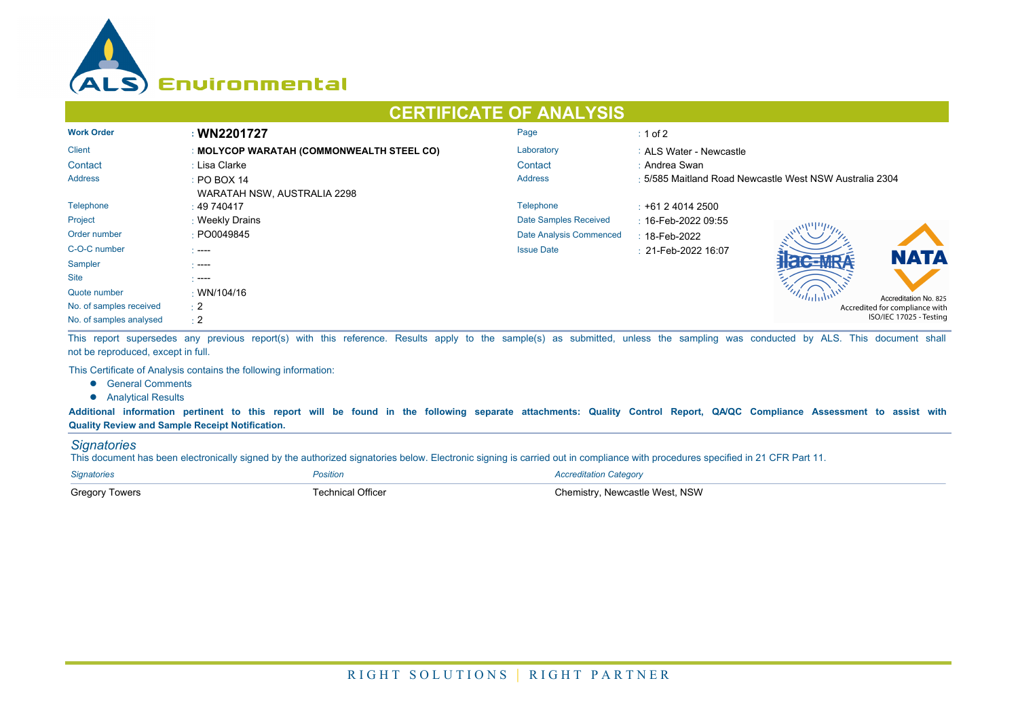

## **CERTIFICATE OF ANALYSIS**

| <b>Work Order</b>       | : WN2201727                               | Page                    | $\div$ 1 of 2                                           |  |  |
|-------------------------|-------------------------------------------|-------------------------|---------------------------------------------------------|--|--|
| <b>Client</b>           | : MOLYCOP WARATAH (COMMONWEALTH STEEL CO) | Laboratory              | : ALS Water - Newcastle                                 |  |  |
| Contact                 | : Lisa Clarke                             | Contact                 | : Andrea Swan                                           |  |  |
| <b>Address</b>          | : PO BOX 14                               | <b>Address</b>          | : 5/585 Maitland Road Newcastle West NSW Australia 2304 |  |  |
|                         | WARATAH NSW, AUSTRALIA 2298               |                         |                                                         |  |  |
| Telephone               | : 49740417                                | Telephone               | $\div$ +61 2 4014 2500                                  |  |  |
| Project                 | : Weekly Drains                           | Date Samples Received   | : 16-Feb-2022 09:55                                     |  |  |
| Order number            | : PO0049845                               | Date Analysis Commenced | $: 18$ -Feb-2022                                        |  |  |
| C-O-C number            | $\sim$ ----                               | <b>Issue Date</b>       | $\pm 21$ -Feb-2022 16:07<br><b>NATA</b>                 |  |  |
| Sampler                 | - ----                                    |                         |                                                         |  |  |
| <b>Site</b>             | - ----                                    |                         |                                                         |  |  |
| Quote number            | $\cdot$ WN/104/16                         |                         | Accreditation No. 825                                   |  |  |
| No. of samples received | $\div 2$                                  |                         | Accredited for compliance with                          |  |  |
| No. of samples analysed | $\div 2$                                  |                         | ISO/IEC 17025 - Testing                                 |  |  |

This report supersedes any previous report(s) with this reference. Results apply to the sample(s) as submitted, unless the sampling was conducted by ALS. This document shall not be reproduced, except in full.

This Certificate of Analysis contains the following information:

- **•** General Comments
- **•** Analytical Results

**Additional information pertinent to this report will be found in the following separate attachments: Quality Control Report, QA/QC Compliance Assessment to assist with Quality Review and Sample Receipt Notification.**

## *Signatories*

This document has been electronically signed by the authorized signatories below. Electronic signing is carried out in compliance with procedures specified in 21 CFR Part 11.

| <b>Signatories</b>    | Position                 | <b>Accreditation Category</b>  |
|-----------------------|--------------------------|--------------------------------|
| <b>Gregory Towers</b> | <b>Fechnical Officer</b> | Chemistry. Newcastle West. NSW |